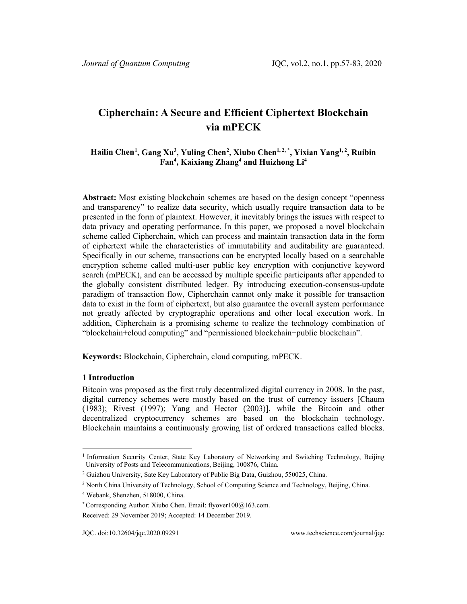# **Cipherchain: A Secure and Efficient Ciphertext Blockchain via mPECK**

# **Hailin Chen[1](#page-0-0) , Gang Xu3 , Yuling Chen[2](#page-0-1) , Xiubo Chen1, 2, \* , Yixian Yang1, 2, Ruibin Fan4 , Kaixiang Zhang4 and Huizhong Li4**

**Abstract:** Most existing blockchain schemes are based on the design concept "openness and transparency" to realize data security, which usually require transaction data to be presented in the form of plaintext. However, it inevitably brings the issues with respect to data privacy and operating performance. In this paper, we proposed a novel blockchain scheme called Cipherchain, which can process and maintain transaction data in the form of ciphertext while the characteristics of immutability and auditability are guaranteed. Specifically in our scheme, transactions can be encrypted locally based on a searchable encryption scheme called multi-user public key encryption with conjunctive keyword search (mPECK), and can be accessed by multiple specific participants after appended to the globally consistent distributed ledger. By introducing execution-consensus-update paradigm of transaction flow, Cipherchain cannot only make it possible for transaction data to exist in the form of ciphertext, but also guarantee the overall system performance not greatly affected by cryptographic operations and other local execution work. In addition, Cipherchain is a promising scheme to realize the technology combination of "blockchain+cloud computing" and "permissioned blockchain+public blockchain".

**Keywords:** Blockchain, Cipherchain, cloud computing, mPECK.

# **1 Introduction**

Bitcoin was proposed as the first truly decentralized digital currency in 2008. In the past, digital currency schemes were mostly based on the trust of currency issuers [Chaum (1983); Rivest (1997); Yang and Hector (2003)], while the Bitcoin and other decentralized cryptocurrency schemes are based on the blockchain technology. Blockchain maintains a continuously growing list of ordered transactions called blocks.

<span id="page-0-0"></span><sup>&</sup>lt;sup>1</sup> Information Security Center, State Key Laboratory of Networking and Switching Technology, Beijing University of Posts and Telecommunications, Beijing, 100876, China.

<span id="page-0-1"></span><sup>2</sup> Guizhou University, Sate Key Laboratory of Public Big Data, Guizhou, 550025, China.

<sup>&</sup>lt;sup>3</sup> North China University of Technology, School of Computing Science and Technology, Beijing, China.

<sup>4</sup> Webank, Shenzhen, 518000, China.

<sup>\*</sup> Corresponding Author: Xiubo Chen. Email: flyover100@163.com.

Received: 29 November 2019; Accepted: 14 December 2019.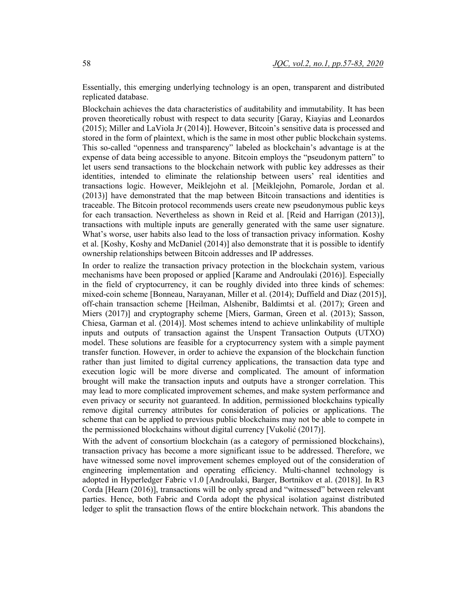Essentially, this emerging underlying technology is an open, transparent and distributed replicated database.

Blockchain achieves the data characteristics of auditability and immutability. It has been proven theoretically robust with respect to data security [Garay, Kiayias and Leonardos (2015); Miller and LaViola Jr (2014)]. However, Bitcoin's sensitive data is processed and stored in the form of plaintext, which is the same in most other public blockchain systems. This so-called "openness and transparency" labeled as blockchain's advantage is at the expense of data being accessible to anyone. Bitcoin employs the "pseudonym pattern" to let users send transactions to the blockchain network with public key addresses as their identities, intended to eliminate the relationship between users' real identities and transactions logic. However, Meiklejohn et al. [Meiklejohn, Pomarole, Jordan et al. (2013)] have demonstrated that the map between Bitcoin transactions and identities is traceable. The Bitcoin protocol recommends users create new pseudonymous public keys for each transaction. Nevertheless as shown in Reid et al. [Reid and Harrigan (2013)], transactions with multiple inputs are generally generated with the same user signature. What's worse, user habits also lead to the loss of transaction privacy information. Koshy et al. [Koshy, Koshy and McDaniel (2014)] also demonstrate that it is possible to identify ownership relationships between Bitcoin addresses and IP addresses.

In order to realize the transaction privacy protection in the blockchain system, various mechanisms have been proposed or applied [Karame and Androulaki (2016)]. Especially in the field of cryptocurrency, it can be roughly divided into three kinds of schemes: mixed-coin scheme [Bonneau, Narayanan, Miller et al. (2014); Duffield and Diaz (2015)], off-chain transaction scheme [Heilman, Alshenibr, Baldimtsi et al. (2017); Green and Miers (2017)] and cryptography scheme [Miers, Garman, Green et al. (2013); Sasson, Chiesa, Garman et al. (2014)]. Most schemes intend to achieve unlinkability of multiple inputs and outputs of transaction against the Unspent Transaction Outputs (UTXO) model. These solutions are feasible for a cryptocurrency system with a simple payment transfer function. However, in order to achieve the expansion of the blockchain function rather than just limited to digital currency applications, the transaction data type and execution logic will be more diverse and complicated. The amount of information brought will make the transaction inputs and outputs have a stronger correlation. This may lead to more complicated improvement schemes, and make system performance and even privacy or security not guaranteed. In addition, permissioned blockchains typically remove digital currency attributes for consideration of policies or applications. The scheme that can be applied to previous public blockchains may not be able to compete in the permissioned blockchains without digital currency [Vukolić (2017)].

With the advent of consortium blockchain (as a category of permissioned blockchains), transaction privacy has become a more significant issue to be addressed. Therefore, we have witnessed some novel improvement schemes employed out of the consideration of engineering implementation and operating efficiency. Multi-channel technology is adopted in Hyperledger Fabric v1.0 [Androulaki, Barger, Bortnikov et al. (2018)]. In R3 Corda [Hearn (2016)], transactions will be only spread and "witnessed" between relevant parties. Hence, both Fabric and Corda adopt the physical isolation against distributed ledger to split the transaction flows of the entire blockchain network. This abandons the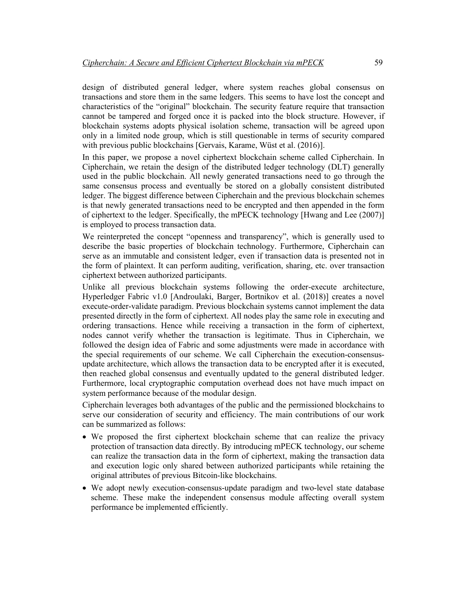design of distributed general ledger, where system reaches global consensus on transactions and store them in the same ledgers. This seems to have lost the concept and characteristics of the "original" blockchain. The security feature require that transaction cannot be tampered and forged once it is packed into the block structure. However, if blockchain systems adopts physical isolation scheme, transaction will be agreed upon only in a limited node group, which is still questionable in terms of security compared with previous public blockchains [Gervais, Karame, Wüst et al. (2016)].

In this paper, we propose a novel ciphertext blockchain scheme called Cipherchain. In Cipherchain, we retain the design of the distributed ledger technology (DLT) generally used in the public blockchain. All newly generated transactions need to go through the same consensus process and eventually be stored on a globally consistent distributed ledger. The biggest difference between Cipherchain and the previous blockchain schemes is that newly generated transactions need to be encrypted and then appended in the form of ciphertext to the ledger. Specifically, the mPECK technology [Hwang and Lee (2007)] is employed to process transaction data.

We reinterpreted the concept "openness and transparency", which is generally used to describe the basic properties of blockchain technology. Furthermore, Cipherchain can serve as an immutable and consistent ledger, even if transaction data is presented not in the form of plaintext. It can perform auditing, verification, sharing, etc. over transaction ciphertext between authorized participants.

Unlike all previous blockchain systems following the order-execute architecture, Hyperledger Fabric v1.0 [Androulaki, Barger, Bortnikov et al. (2018)] creates a novel execute-order-validate paradigm. Previous blockchain systems cannot implement the data presented directly in the form of ciphertext. All nodes play the same role in executing and ordering transactions. Hence while receiving a transaction in the form of ciphertext, nodes cannot verify whether the transaction is legitimate. Thus in Cipherchain, we followed the design idea of Fabric and some adjustments were made in accordance with the special requirements of our scheme. We call Cipherchain the execution-consensusupdate architecture, which allows the transaction data to be encrypted after it is executed, then reached global consensus and eventually updated to the general distributed ledger. Furthermore, local cryptographic computation overhead does not have much impact on system performance because of the modular design.

Cipherchain leverages both advantages of the public and the permissioned blockchains to serve our consideration of security and efficiency. The main contributions of our work can be summarized as follows:

- We proposed the first ciphertext blockchain scheme that can realize the privacy protection of transaction data directly. By introducing mPECK technology, our scheme can realize the transaction data in the form of ciphertext, making the transaction data and execution logic only shared between authorized participants while retaining the original attributes of previous Bitcoin-like blockchains.
- We adopt newly execution-consensus-update paradigm and two-level state database scheme. These make the independent consensus module affecting overall system performance be implemented efficiently.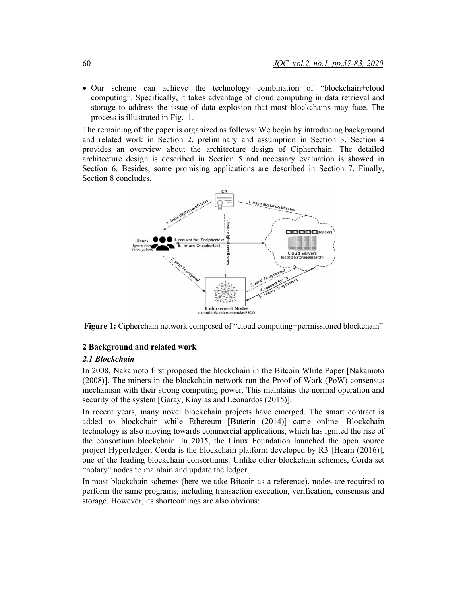• Our scheme can achieve the technology combination of "blockchain+cloud computing". Specifically, it takes advantage of cloud computing in data retrieval and storage to address the issue of data explosion that most blockchains may face. The process is illustrated in Fig. 1.

The remaining of the paper is organized as follows: We begin by introducing background and related work in Section 2, preliminary and assumption in Section 3. Section 4 provides an overview about the architecture design of Cipherchain. The detailed architecture design is described in Section 5 and necessary evaluation is showed in Section 6. Besides, some promising applications are described in Section 7. Finally, Section 8 concludes.



**Figure 1:** Cipherchain network composed of "cloud computing+permissioned blockchain"

## **2 Background and related work**

## *2.1 Blockchain*

In 2008, Nakamoto first proposed the blockchain in the Bitcoin White Paper [Nakamoto (2008)]. The miners in the blockchain network run the Proof of Work (PoW) consensus mechanism with their strong computing power. This maintains the normal operation and security of the system [Garay, Kiayias and Leonardos (2015)].

In recent years, many novel blockchain projects have emerged. The smart contract is added to blockchain while Ethereum [Buterin (2014)] came online. Blockchain technology is also moving towards commercial applications, which has ignited the rise of the consortium blockchain. In 2015, the Linux Foundation launched the open source project Hyperledger. Corda is the blockchain platform developed by R3 [Hearn (2016)], one of the leading blockchain consortiums. Unlike other blockchain schemes, Corda set "notary" nodes to maintain and update the ledger.

In most blockchain schemes (here we take Bitcoin as a reference), nodes are required to perform the same programs, including transaction execution, verification, consensus and storage. However, its shortcomings are also obvious: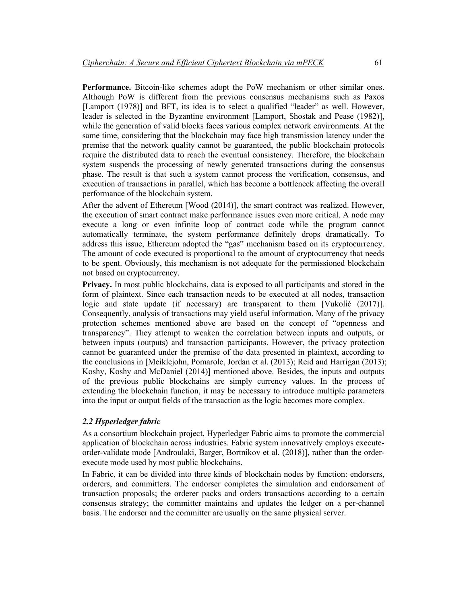**Performance.** Bitcoin-like schemes adopt the PoW mechanism or other similar ones. Although PoW is different from the previous consensus mechanisms such as Paxos [Lamport (1978)] and BFT, its idea is to select a qualified "leader" as well. However, leader is selected in the Byzantine environment [Lamport, Shostak and Pease (1982)], while the generation of valid blocks faces various complex network environments. At the same time, considering that the blockchain may face high transmission latency under the premise that the network quality cannot be guaranteed, the public blockchain protocols require the distributed data to reach the eventual consistency. Therefore, the blockchain system suspends the processing of newly generated transactions during the consensus phase. The result is that such a system cannot process the verification, consensus, and execution of transactions in parallel, which has become a bottleneck affecting the overall performance of the blockchain system.

After the advent of Ethereum [Wood (2014)], the smart contract was realized. However, the execution of smart contract make performance issues even more critical. A node may execute a long or even infinite loop of contract code while the program cannot automatically terminate, the system performance definitely drops dramatically. To address this issue, Ethereum adopted the "gas" mechanism based on its cryptocurrency. The amount of code executed is proportional to the amount of cryptocurrency that needs to be spent. Obviously, this mechanism is not adequate for the permissioned blockchain not based on cryptocurrency.

**Privacy.** In most public blockchains, data is exposed to all participants and stored in the form of plaintext. Since each transaction needs to be executed at all nodes, transaction logic and state update (if necessary) are transparent to them [Vukolić (2017)]. Consequently, analysis of transactions may yield useful information. Many of the privacy protection schemes mentioned above are based on the concept of "openness and transparency". They attempt to weaken the correlation between inputs and outputs, or between inputs (outputs) and transaction participants. However, the privacy protection cannot be guaranteed under the premise of the data presented in plaintext, according to the conclusions in [Meiklejohn, Pomarole, Jordan et al. (2013); Reid and Harrigan (2013); Koshy, Koshy and McDaniel (2014)] mentioned above. Besides, the inputs and outputs of the previous public blockchains are simply currency values. In the process of extending the blockchain function, it may be necessary to introduce multiple parameters into the input or output fields of the transaction as the logic becomes more complex.

#### *2.2 Hyperledger fabric*

As a consortium blockchain project, Hyperledger Fabric aims to promote the commercial application of blockchain across industries. Fabric system innovatively employs executeorder-validate mode [Androulaki, Barger, Bortnikov et al. (2018)], rather than the orderexecute mode used by most public blockchains.

In Fabric, it can be divided into three kinds of blockchain nodes by function: endorsers, orderers, and committers. The endorser completes the simulation and endorsement of transaction proposals; the orderer packs and orders transactions according to a certain consensus strategy; the committer maintains and updates the ledger on a per-channel basis. The endorser and the committer are usually on the same physical server.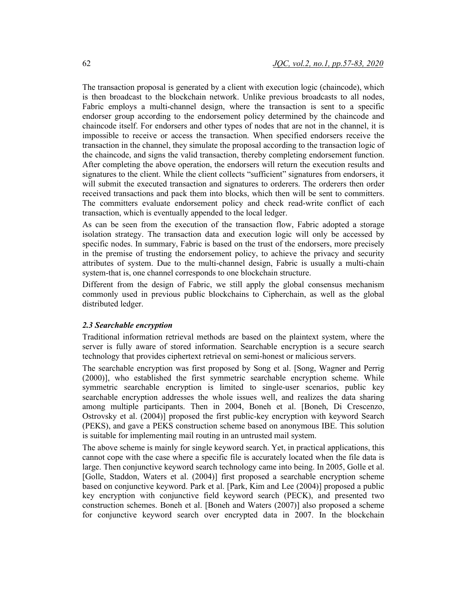The transaction proposal is generated by a client with execution logic (chaincode), which is then broadcast to the blockchain network. Unlike previous broadcasts to all nodes, Fabric employs a multi-channel design, where the transaction is sent to a specific endorser group according to the endorsement policy determined by the chaincode and chaincode itself. For endorsers and other types of nodes that are not in the channel, it is impossible to receive or access the transaction. When specified endorsers receive the transaction in the channel, they simulate the proposal according to the transaction logic of the chaincode, and signs the valid transaction, thereby completing endorsement function. After completing the above operation, the endorsers will return the execution results and signatures to the client. While the client collects "sufficient" signatures from endorsers, it will submit the executed transaction and signatures to orderers. The orderers then order received transactions and pack them into blocks, which then will be sent to committers. The committers evaluate endorsement policy and check read-write conflict of each transaction, which is eventually appended to the local ledger.

As can be seen from the execution of the transaction flow, Fabric adopted a storage isolation strategy. The transaction data and execution logic will only be accessed by specific nodes. In summary, Fabric is based on the trust of the endorsers, more precisely in the premise of trusting the endorsement policy, to achieve the privacy and security attributes of system. Due to the multi-channel design, Fabric is usually a multi-chain system-that is, one channel corresponds to one blockchain structure.

Different from the design of Fabric, we still apply the global consensus mechanism commonly used in previous public blockchains to Cipherchain, as well as the global distributed ledger.

#### *2.3 Searchable encryption*

Traditional information retrieval methods are based on the plaintext system, where the server is fully aware of stored information. Searchable encryption is a secure search technology that provides ciphertext retrieval on semi-honest or malicious servers.

The searchable encryption was first proposed by Song et al. [Song, Wagner and Perrig (2000)], who established the first symmetric searchable encryption scheme. While symmetric searchable encryption is limited to single-user scenarios, public key searchable encryption addresses the whole issues well, and realizes the data sharing among multiple participants. Then in 2004, Boneh et al. [Boneh, Di Crescenzo, Ostrovsky et al. (2004)] proposed the first public-key encryption with keyword Search (PEKS), and gave a PEKS construction scheme based on anonymous IBE. This solution is suitable for implementing mail routing in an untrusted mail system.

The above scheme is mainly for single keyword search. Yet, in practical applications, this cannot cope with the case where a specific file is accurately located when the file data is large. Then conjunctive keyword search technology came into being. In 2005, Golle et al. [Golle, Staddon, Waters et al. (2004)] first proposed a searchable encryption scheme based on conjunctive keyword. Park et al. [Park, Kim and Lee (2004)] proposed a public key encryption with conjunctive field keyword search (PECK), and presented two construction schemes. Boneh et al. [Boneh and Waters (2007)] also proposed a scheme for conjunctive keyword search over encrypted data in 2007. In the blockchain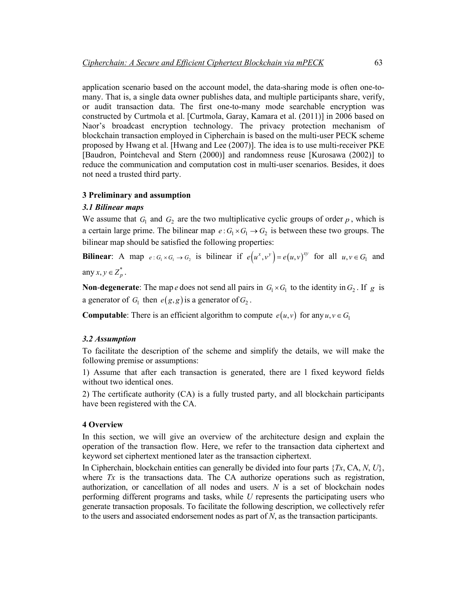application scenario based on the account model, the data-sharing mode is often one-tomany. That is, a single data owner publishes data, and multiple participants share, verify, or audit transaction data. The first one-to-many mode searchable encryption was constructed by Curtmola et al. [Curtmola, Garay, Kamara et al. (2011)] in 2006 based on Naor's broadcast encryption technology. The privacy protection mechanism of blockchain transaction employed in Cipherchain is based on the multi-user PECK scheme proposed by Hwang et al. [Hwang and Lee (2007)]. The idea is to use multi-receiver PKE [Baudron, Pointcheval and Stern (2000)] and randomness reuse [Kurosawa (2002)] to reduce the communication and computation cost in multi-user scenarios. Besides, it does not need a trusted third party.

#### **3 Preliminary and assumption**

## *3.1 Bilinear maps*

We assume that  $G_1$  and  $G_2$  are the two multiplicative cyclic groups of order  $p$ , which is a certain large prime. The bilinear map  $e: G_1 \times G_1 \to G_2$  is between these two groups. The bilinear map should be satisfied the following properties:

**Bilinear**: A map  $e: G_1 \times G_1 \to G_2$  is bilinear if  $e(u^x, v^y) = e(u, v)^{xy}$  for all  $u, v \in G_1$  and any  $x, y \in Z_n^*$ .

**Non-degenerate**: The map *e* does not send all pairs in  $G_1 \times G_1$  to the identity in  $G_2$ . If *g* is a generator of  $G_1$  then  $e(g, g)$  is a generator of  $G_2$ .

**Computable**: There is an efficient algorithm to compute  $e(u, v)$  for any  $u, v \in G$ 

#### *3.2 Assumption*

To facilitate the description of the scheme and simplify the details, we will make the following premise or assumptions:

1) Assume that after each transaction is generated, there are l fixed keyword fields without two identical ones.

2) The certificate authority (CA) is a fully trusted party, and all blockchain participants have been registered with the CA.

#### **4 Overview**

In this section, we will give an overview of the architecture design and explain the operation of the transaction flow. Here, we refer to the transaction data ciphertext and keyword set ciphertext mentioned later as the transaction ciphertext.

In Cipherchain, blockchain entities can generally be divided into four parts {*Tx*, CA, *N*, *U*}, where *Tx* is the transactions data. The CA authorize operations such as registration, authorization, or cancellation of all nodes and users. *N* is a set of blockchain nodes performing different programs and tasks, while *U* represents the participating users who generate transaction proposals. To facilitate the following description, we collectively refer to the users and associated endorsement nodes as part of *N*, as the transaction participants.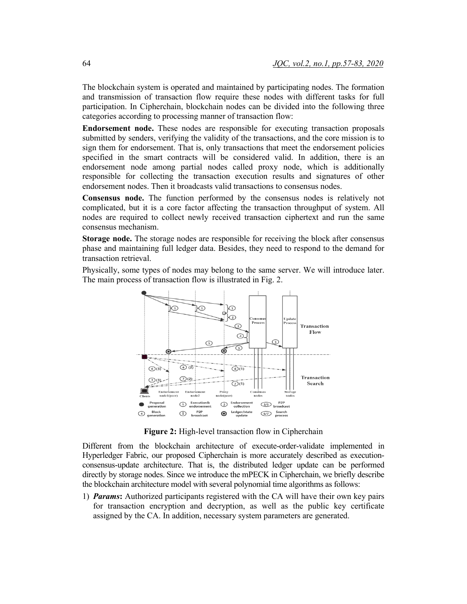The blockchain system is operated and maintained by participating nodes. The formation and transmission of transaction flow require these nodes with different tasks for full participation. In Cipherchain, blockchain nodes can be divided into the following three categories according to processing manner of transaction flow:

**Endorsement node.** These nodes are responsible for executing transaction proposals submitted by senders, verifying the validity of the transactions, and the core mission is to sign them for endorsement. That is, only transactions that meet the endorsement policies specified in the smart contracts will be considered valid. In addition, there is an endorsement node among partial nodes called proxy node, which is additionally responsible for collecting the transaction execution results and signatures of other endorsement nodes. Then it broadcasts valid transactions to consensus nodes.

**Consensus node.** The function performed by the consensus nodes is relatively not complicated, but it is a core factor affecting the transaction throughput of system. All nodes are required to collect newly received transaction ciphertext and run the same consensus mechanism.

**Storage node.** The storage nodes are responsible for receiving the block after consensus phase and maintaining full ledger data. Besides, they need to respond to the demand for transaction retrieval.

Physically, some types of nodes may belong to the same server. We will introduce later. The main process of transaction flow is illustrated in Fig. 2.



**Figure 2:** High-level transaction flow in Cipherchain

Different from the blockchain architecture of execute-order-validate implemented in Hyperledger Fabric, our proposed Cipherchain is more accurately described as executionconsensus-update architecture. That is, the distributed ledger update can be performed directly by storage nodes. Since we introduce the mPECK in Cipherchain, we briefly describe the blockchain architecture model with several polynomial time algorithms as follows:

1) *Params***:** Authorized participants registered with the CA will have their own key pairs for transaction encryption and decryption, as well as the public key certificate assigned by the CA. In addition, necessary system parameters are generated.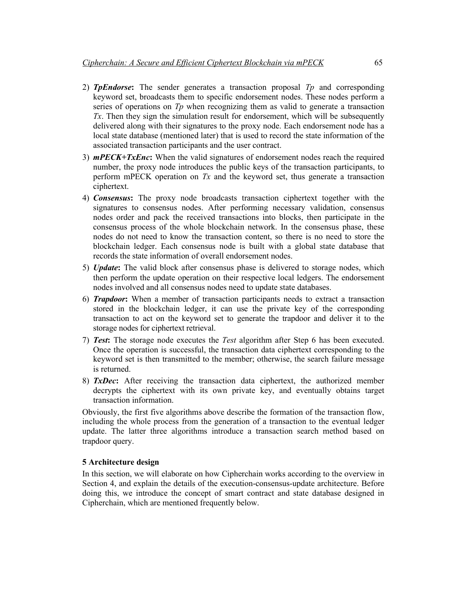- 2) *TpEndorse***:** The sender generates a transaction proposal *Tp* and corresponding keyword set, broadcasts them to specific endorsement nodes. These nodes perform a series of operations on *Tp* when recognizing them as valid to generate a transaction *Tx*. Then they sign the simulation result for endorsement, which will be subsequently delivered along with their signatures to the proxy node. Each endorsement node has a local state database (mentioned later) that is used to record the state information of the associated transaction participants and the user contract.
- 3) *mPECK+TxEnc***:** When the valid signatures of endorsement nodes reach the required number, the proxy node introduces the public keys of the transaction participants, to perform mPECK operation on *Tx* and the keyword set, thus generate a transaction ciphertext.
- 4) *Consensus***:** The proxy node broadcasts transaction ciphertext together with the signatures to consensus nodes. After performing necessary validation, consensus nodes order and pack the received transactions into blocks, then participate in the consensus process of the whole blockchain network. In the consensus phase, these nodes do not need to know the transaction content, so there is no need to store the blockchain ledger. Each consensus node is built with a global state database that records the state information of overall endorsement nodes.
- 5) *Update***:** The valid block after consensus phase is delivered to storage nodes, which then perform the update operation on their respective local ledgers. The endorsement nodes involved and all consensus nodes need to update state databases.
- 6) *Trapdoor***:** When a member of transaction participants needs to extract a transaction stored in the blockchain ledger, it can use the private key of the corresponding transaction to act on the keyword set to generate the trapdoor and deliver it to the storage nodes for ciphertext retrieval.
- 7) *Test***:** The storage node executes the *Test* algorithm after Step 6 has been executed. Once the operation is successful, the transaction data ciphertext corresponding to the keyword set is then transmitted to the member; otherwise, the search failure message is returned.
- 8) *TxDec***:** After receiving the transaction data ciphertext, the authorized member decrypts the ciphertext with its own private key, and eventually obtains target transaction information.

Obviously, the first five algorithms above describe the formation of the transaction flow, including the whole process from the generation of a transaction to the eventual ledger update. The latter three algorithms introduce a transaction search method based on trapdoor query.

#### **5 Architecture design**

In this section, we will elaborate on how Cipherchain works according to the overview in Section 4, and explain the details of the execution-consensus-update architecture. Before doing this, we introduce the concept of smart contract and state database designed in Cipherchain, which are mentioned frequently below.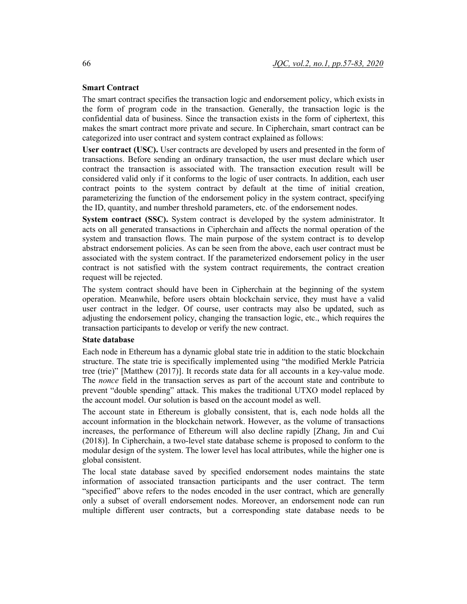# **Smart Contract**

The smart contract specifies the transaction logic and endorsement policy, which exists in the form of program code in the transaction. Generally, the transaction logic is the confidential data of business. Since the transaction exists in the form of ciphertext, this makes the smart contract more private and secure. In Cipherchain, smart contract can be categorized into user contract and system contract explained as follows:

**User contract (USC).** User contracts are developed by users and presented in the form of transactions. Before sending an ordinary transaction, the user must declare which user contract the transaction is associated with. The transaction execution result will be considered valid only if it conforms to the logic of user contracts. In addition, each user contract points to the system contract by default at the time of initial creation, parameterizing the function of the endorsement policy in the system contract, specifying the ID, quantity, and number threshold parameters, etc. of the endorsement nodes.

**System contract (SSC).** System contract is developed by the system administrator. It acts on all generated transactions in Cipherchain and affects the normal operation of the system and transaction flows. The main purpose of the system contract is to develop abstract endorsement policies. As can be seen from the above, each user contract must be associated with the system contract. If the parameterized endorsement policy in the user contract is not satisfied with the system contract requirements, the contract creation request will be rejected.

The system contract should have been in Cipherchain at the beginning of the system operation. Meanwhile, before users obtain blockchain service, they must have a valid user contract in the ledger. Of course, user contracts may also be updated, such as adjusting the endorsement policy, changing the transaction logic, etc., which requires the transaction participants to develop or verify the new contract.

#### **State database**

Each node in Ethereum has a dynamic global state trie in addition to the static blockchain structure. The state trie is specifically implemented using "the modified Merkle Patricia tree (trie)" [Matthew (2017)]. It records state data for all accounts in a key-value mode. The *nonce* field in the transaction serves as part of the account state and contribute to prevent "double spending" attack. This makes the traditional UTXO model replaced by the account model. Our solution is based on the account model as well.

The account state in Ethereum is globally consistent, that is, each node holds all the account information in the blockchain network. However, as the volume of transactions increases, the performance of Ethereum will also decline rapidly [Zhang, Jin and Cui (2018)]. In Cipherchain, a two-level state database scheme is proposed to conform to the modular design of the system. The lower level has local attributes, while the higher one is global consistent.

The local state database saved by specified endorsement nodes maintains the state information of associated transaction participants and the user contract. The term "specified" above refers to the nodes encoded in the user contract, which are generally only a subset of overall endorsement nodes. Moreover, an endorsement node can run multiple different user contracts, but a corresponding state database needs to be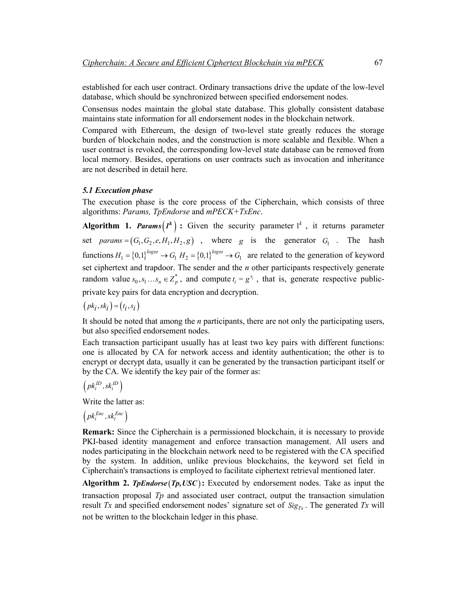established for each user contract. Ordinary transactions drive the update of the low-level database, which should be synchronized between specified endorsement nodes.

Consensus nodes maintain the global state database. This globally consistent database maintains state information for all endorsement nodes in the blockchain network.

Compared with Ethereum, the design of two-level state greatly reduces the storage burden of blockchain nodes, and the construction is more scalable and flexible. When a user contract is revoked, the corresponding low-level state database can be removed from local memory. Besides, operations on user contracts such as invocation and inheritance are not described in detail here.

## *5.1 Execution phase*

The execution phase is the core process of the Cipherchain, which consists of three algorithms: *Params, TpEndorse* and *mPECK+TxEnc*.

**Algorithm 1. Params**  $(I^k)$  **:** Given the security parameter  $I^k$ , it returns parameter set *params* =  $(G_1, G_2, e, H_1, H_2, g)$ , where *g* is the generator  $G_1$ . The hash functions  $H_1 = \{0,1\}^{log\omega} \rightarrow G_1 H_2 = \{0,1\}^{log\omega} \rightarrow G_1$  are related to the generation of keyword set ciphertext and trapdoor. The sender and the *n* other participants respectively generate random value  $s_0, s_1...s_n \in \mathbb{Z}_p^*$ , and compute  $t_i = g^{s_i}$ , that is, generate respective publicprivate key pairs for data encryption and decryption.

 $(pk_i, sk_i) = (t_i, s_i)$ 

It should be noted that among the *n* participants, there are not only the participating users, but also specified endorsement nodes.

Each transaction participant usually has at least two key pairs with different functions: one is allocated by CA for network access and identity authentication; the other is to encrypt or decrypt data, usually it can be generated by the transaction participant itself or by the CA. We identify the key pair of the former as:

$$
\left( pk_i^{ID}, sk_i^{ID} \right)
$$

Write the latter as:

$$
\left( pk_i^{Enc}, sk_i^{Enc} \right)
$$

**Remark:** Since the Cipherchain is a permissioned blockchain, it is necessary to provide PKI-based identity management and enforce transaction management. All users and nodes participating in the blockchain network need to be registered with the CA specified by the system. In addition, unlike previous blockchains, the keyword set field in Cipherchain's transactions is employed to facilitate ciphertext retrieval mentioned later.

**Algorithm 2.** *TpEndorse*  $(Tp, USC)$ : Executed by endorsement nodes. Take as input the transaction proposal *Tp* and associated user contract, output the transaction simulation result *Tx* and specified endorsement nodes' signature set of  $\text{Sig}_{T_x}$ . The generated *Tx* will not be written to the blockchain ledger in this phase.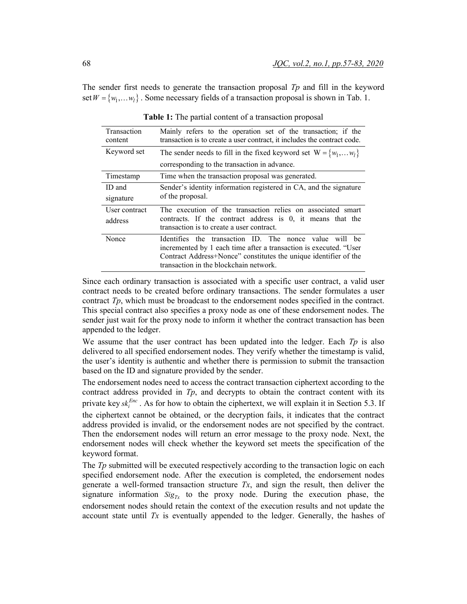The sender first needs to generate the transaction proposal *Tp* and fill in the keyword set  $W = \{w_1, \ldots w_l\}$ . Some necessary fields of a transaction proposal is shown in Tab. 1.

| Transaction<br>content | Mainly refers to the operation set of the transaction; if the<br>transaction is to create a user contract, it includes the contract code.                                                                                                 |  |  |  |
|------------------------|-------------------------------------------------------------------------------------------------------------------------------------------------------------------------------------------------------------------------------------------|--|--|--|
| Keyword set            | The sender needs to fill in the fixed keyword set $W = \{w_1,w_l\}$                                                                                                                                                                       |  |  |  |
|                        | corresponding to the transaction in advance.                                                                                                                                                                                              |  |  |  |
| Timestamp              | Time when the transaction proposal was generated.                                                                                                                                                                                         |  |  |  |
| ID and                 | Sender's identity information registered in CA, and the signature<br>of the proposal.                                                                                                                                                     |  |  |  |
| signature              |                                                                                                                                                                                                                                           |  |  |  |
| User contract          | The execution of the transaction relies on associated smart                                                                                                                                                                               |  |  |  |
| address                | contracts. If the contract address is 0, it means that the<br>transaction is to create a user contract.                                                                                                                                   |  |  |  |
| Nonce                  | Identifies the transaction ID. The nonce value will be<br>incremented by 1 each time after a transaction is executed. "User<br>Contract Address+Nonce" constitutes the unique identifier of the<br>transaction in the blockchain network. |  |  |  |

**Table 1:** The partial content of a transaction proposal

Since each ordinary transaction is associated with a specific user contract, a valid user contract needs to be created before ordinary transactions. The sender formulates a user contract *Tp*, which must be broadcast to the endorsement nodes specified in the contract. This special contract also specifies a proxy node as one of these endorsement nodes. The sender just wait for the proxy node to inform it whether the contract transaction has been appended to the ledger.

We assume that the user contract has been updated into the ledger. Each *Tp* is also delivered to all specified endorsement nodes. They verify whether the timestamp is valid, the user's identity is authentic and whether there is permission to submit the transaction based on the ID and signature provided by the sender.

The endorsement nodes need to access the contract transaction ciphertext according to the contract address provided in *Tp*, and decrypts to obtain the contract content with its private key  $s k_i^{Enc}$ . As for how to obtain the ciphertext, we will explain it in Section 5.3. If the ciphertext cannot be obtained, or the decryption fails, it indicates that the contract address provided is invalid, or the endorsement nodes are not specified by the contract. Then the endorsement nodes will return an error message to the proxy node. Next, the endorsement nodes will check whether the keyword set meets the specification of the keyword format.

The *Tp* submitted will be executed respectively according to the transaction logic on each specified endorsement node. After the execution is completed, the endorsement nodes generate a well-formed transaction structure *Tx*, and sign the result, then deliver the signature information  $Sig_{Tx}$  to the proxy node. During the execution phase, the endorsement nodes should retain the context of the execution results and not update the account state until *Tx* is eventually appended to the ledger. Generally, the hashes of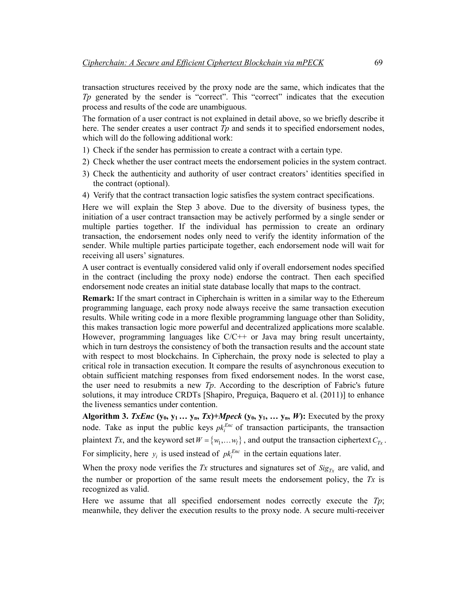transaction structures received by the proxy node are the same, which indicates that the *Tp* generated by the sender is "correct". This "correct" indicates that the execution process and results of the code are unambiguous.

The formation of a user contract is not explained in detail above, so we briefly describe it here. The sender creates a user contract *Tp* and sends it to specified endorsement nodes, which will do the following additional work:

- 1) Check if the sender has permission to create a contract with a certain type.
- 2) Check whether the user contract meets the endorsement policies in the system contract.
- 3) Check the authenticity and authority of user contract creators' identities specified in the contract (optional).
- 4) Verify that the contract transaction logic satisfies the system contract specifications.

Here we will explain the Step 3 above. Due to the diversity of business types, the initiation of a user contract transaction may be actively performed by a single sender or multiple parties together. If the individual has permission to create an ordinary transaction, the endorsement nodes only need to verify the identity information of the sender. While multiple parties participate together, each endorsement node will wait for receiving all users' signatures.

A user contract is eventually considered valid only if overall endorsement nodes specified in the contract (including the proxy node) endorse the contract. Then each specified endorsement node creates an initial state database locally that maps to the contract.

**Remark:** If the smart contract in Cipherchain is written in a similar way to the Ethereum programming language, each proxy node always receive the same transaction execution results. While writing code in a more flexible programming language other than Solidity, this makes transaction logic more powerful and decentralized applications more scalable. However, programming languages like  $C/C++$  or Java may bring result uncertainty, which in turn destroys the consistency of both the transaction results and the account state with respect to most blockchains. In Cipherchain, the proxy node is selected to play a critical role in transaction execution. It compare the results of asynchronous execution to obtain sufficient matching responses from fixed endorsement nodes. In the worst case, the user need to resubmits a new *Tp*. According to the description of Fabric's future solutions, it may introduce CRDTs [Shapiro, Preguiça, Baquero et al. (2011)] to enhance the liveness semantics under contention.

**Algorithm 3.** *TxEnc*  $(y_0, y_1... y_n, Tx)$ +*Mpeck*  $(y_0, y_1,... y_n, W)$ : Executed by the proxy node. Take as input the public keys  $p_k^{Enc}$  of transaction participants, the transaction plaintext *Tx*, and the keyword set  $W = \{w_1, \ldots w_l\}$ , and output the transaction ciphertext  $C_{Tx}$ . For simplicity, here  $y_i$  is used instead of  $pk_i^{Enc}$  in the certain equations later.

When the proxy node verifies the  $Tx$  structures and signatures set of  $Sig_{Tx}$  are valid, and the number or proportion of the same result meets the endorsement policy, the *Tx* is recognized as valid.

Here we assume that all specified endorsement nodes correctly execute the *Tp*; meanwhile, they deliver the execution results to the proxy node. A secure multi-receiver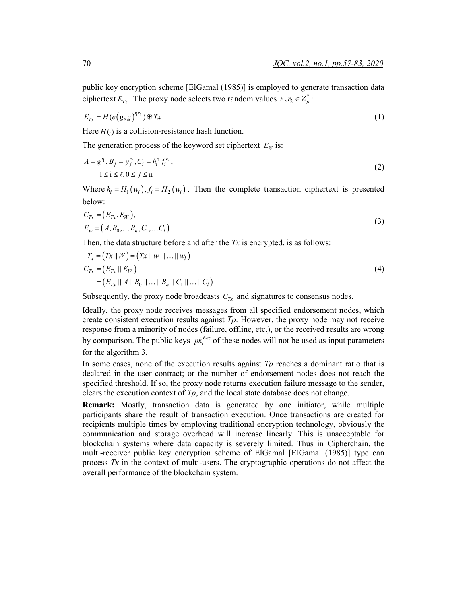$$
E_{Tx} = H(e(g, g)^{r_1 r_2}) \oplus Tx \tag{1}
$$

Here  $H(\cdot)$  is a collision-resistance hash function.

The generation process of the keyword set ciphertext  $E_W$  is:

$$
A = g^{r_1}, B_j = y_j^{r_2}, C_i = h_i^{r_1} f_i^{r_2},
$$
  
 
$$
1 \le i \le \ell, 0 \le j \le n
$$
 (2)

Where  $h_i = H_1(w_i)$ ,  $f_i = H_2(w_i)$ . Then the complete transaction ciphertext is presented below:

$$
C_{Tx} = (E_{Tx}, E_W),E_w = (A, B_0, \dots, B_n, C_1, \dots, C_l)
$$
\n(3)

Then, the data structure before and after the  $Tx$  is encrypted, is as follows:

$$
T_x = (Tx || W) = (Tx || w_1 || ... || w_l)
$$
  
\n
$$
C_{Tx} = (E_{Tx} || E_W)
$$
  
\n
$$
= (E_{Tx} || A || B_0 || ... || B_n || C_1 || ... || C_l)
$$
\n(4)

Subsequently, the proxy node broadcasts  $C_{Tx}$  and signatures to consensus nodes.

Ideally, the proxy node receives messages from all specified endorsement nodes, which create consistent execution results against *Tp*. However, the proxy node may not receive response from a minority of nodes (failure, offline, etc.), or the received results are wrong by comparison. The public keys  $pk_i^{Enc}$  of these nodes will not be used as input parameters for the algorithm 3.

In some cases, none of the execution results against *Tp* reaches a dominant ratio that is declared in the user contract; or the number of endorsement nodes does not reach the specified threshold. If so, the proxy node returns execution failure message to the sender, clears the execution context of *Tp*, and the local state database does not change.

**Remark:** Mostly, transaction data is generated by one initiator, while multiple participants share the result of transaction execution. Once transactions are created for recipients multiple times by employing traditional encryption technology, obviously the communication and storage overhead will increase linearly. This is unacceptable for blockchain systems where data capacity is severely limited. Thus in Cipherchain, the multi-receiver public key encryption scheme of ElGamal [ElGamal (1985)] type can process *Tx* in the context of multi-users. The cryptographic operations do not affect the overall performance of the blockchain system.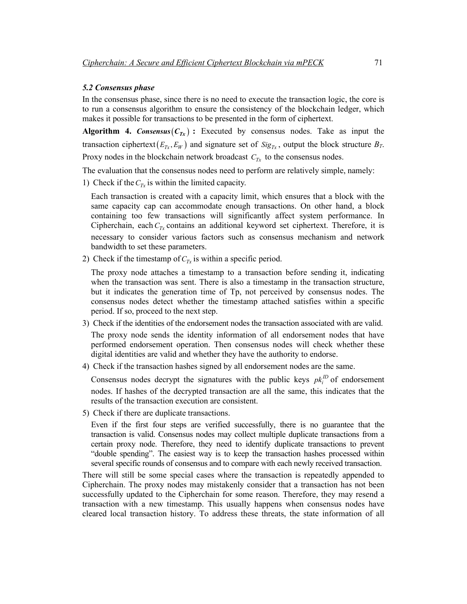#### *5.2 Consensus phase*

In the consensus phase, since there is no need to execute the transaction logic, the core is to run a consensus algorithm to ensure the consistency of the blockchain ledger, which makes it possible for transactions to be presented in the form of ciphertext.

**Algorithm 4.** *Consensus*  $(C_{Tx})$ : Executed by consensus nodes. Take as input the transaction ciphertext( $E_{Tx}, E_W$ ) and signature set of  $Sig_{Tx}$ , output the block structure  $B_T$ . Proxy nodes in the blockchain network broadcast  $C_{Tx}$  to the consensus nodes.

The evaluation that the consensus nodes need to perform are relatively simple, namely:

1) Check if the  $C_{Tx}$  is within the limited capacity.

Each transaction is created with a capacity limit, which ensures that a block with the same capacity cap can accommodate enough transactions. On other hand, a block containing too few transactions will significantly affect system performance. In Cipherchain, each  $C_{Tx}$  contains an additional keyword set ciphertext. Therefore, it is necessary to consider various factors such as consensus mechanism and network bandwidth to set these parameters.

2) Check if the timestamp of  $C_{Tx}$  is within a specific period.

The proxy node attaches a timestamp to a transaction before sending it, indicating when the transaction was sent. There is also a timestamp in the transaction structure, but it indicates the generation time of Tp, not perceived by consensus nodes. The consensus nodes detect whether the timestamp attached satisfies within a specific period. If so, proceed to the next step.

- 3) Check if the identities of the endorsement nodes the transaction associated with are valid. The proxy node sends the identity information of all endorsement nodes that have performed endorsement operation. Then consensus nodes will check whether these digital identities are valid and whether they have the authority to endorse.
- 4) Check if the transaction hashes signed by all endorsement nodes are the same.

Consensus nodes decrypt the signatures with the public keys  $pk_i^{ID}$  of endorsement nodes. If hashes of the decrypted transaction are all the same, this indicates that the results of the transaction execution are consistent.

5) Check if there are duplicate transactions.

Even if the first four steps are verified successfully, there is no guarantee that the transaction is valid. Consensus nodes may collect multiple duplicate transactions from a certain proxy node. Therefore, they need to identify duplicate transactions to prevent "double spending". The easiest way is to keep the transaction hashes processed within several specific rounds of consensus and to compare with each newly received transaction.

There will still be some special cases where the transaction is repeatedly appended to Cipherchain. The proxy nodes may mistakenly consider that a transaction has not been successfully updated to the Cipherchain for some reason. Therefore, they may resend a transaction with a new timestamp. This usually happens when consensus nodes have cleared local transaction history. To address these threats, the state information of all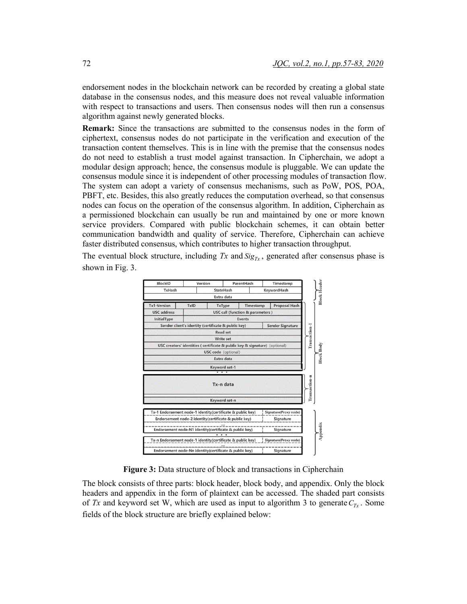endorsement nodes in the blockchain network can be recorded by creating a global state database in the consensus nodes, and this measure does not reveal valuable information with respect to transactions and users. Then consensus nodes will then run a consensus algorithm against newly generated blocks.

**Remark:** Since the transactions are submitted to the consensus nodes in the form of ciphertext, consensus nodes do not participate in the verification and execution of the transaction content themselves. This is in line with the premise that the consensus nodes do not need to establish a trust model against transaction. In Cipherchain, we adopt a modular design approach; hence, the consensus module is pluggable. We can update the consensus module since it is independent of other processing modules of transaction flow. The system can adopt a variety of consensus mechanisms, such as PoW, POS, POA, PBFT, etc. Besides, this also greatly reduces the computation overhead, so that consensus nodes can focus on the operation of the consensus algorithm. In addition, Cipherchain as a permissioned blockchain can usually be run and maintained by one or more known service providers. Compared with public blockchain schemes, it can obtain better communication bandwidth and quality of service. Therefore, Cipherchain can achieve faster distributed consensus, which contributes to higher transaction throughput.

The eventual block structure, including  $Tx$  and  $Sig_{Tx}$ , generated after consensus phase is shown in Fig. 3.



**Figure 3:** Data structure of block and transactions in Cipherchain

The block consists of three parts: block header, block body, and appendix. Only the block headers and appendix in the form of plaintext can be accessed. The shaded part consists of *Tx* and keyword set W, which are used as input to algorithm 3 to generate  $C_{Tx}$ . Some fields of the block structure are briefly explained below: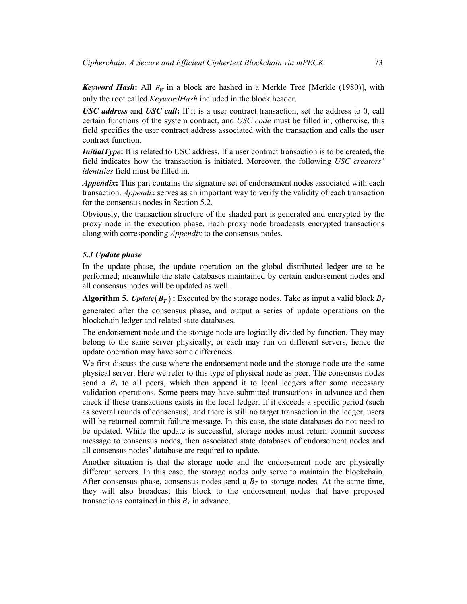*Keyword Hash*: All  $E_W$  in a block are hashed in a Merkle Tree [Merkle (1980)], with only the root called *KeywordHash* included in the block header.

*USC address* and *USC call***:** If it is a user contract transaction, set the address to 0, call certain functions of the system contract, and *USC code* must be filled in; otherwise, this field specifies the user contract address associated with the transaction and calls the user contract function.

*InitialType*: It is related to USC address. If a user contract transaction is to be created, the field indicates how the transaction is initiated. Moreover, the following *USC creators' identities* field must be filled in.

*Appendix***:** This part contains the signature set of endorsement nodes associated with each transaction. *Appendix* serves as an important way to verify the validity of each transaction for the consensus nodes in Section 5.2.

Obviously, the transaction structure of the shaded part is generated and encrypted by the proxy node in the execution phase. Each proxy node broadcasts encrypted transactions along with corresponding *Appendix* to the consensus nodes.

## *5.3 Update phase*

In the update phase, the update operation on the global distributed ledger are to be performed; meanwhile the state databases maintained by certain endorsement nodes and all consensus nodes will be updated as well.

**Algorithm 5.** *Update*  $(B_T)$ : Executed by the storage nodes. Take as input a valid block  $B_T$ 

generated after the consensus phase, and output a series of update operations on the blockchain ledger and related state databases.

The endorsement node and the storage node are logically divided by function. They may belong to the same server physically, or each may run on different servers, hence the update operation may have some differences.

We first discuss the case where the endorsement node and the storage node are the same physical server. Here we refer to this type of physical node as peer. The consensus nodes send a  $B_T$  to all peers, which then append it to local ledgers after some necessary validation operations. Some peers may have submitted transactions in advance and then check if these transactions exists in the local ledger. If it exceeds a specific period (such as several rounds of consensus), and there is still no target transaction in the ledger, users will be returned commit failure message. In this case, the state databases do not need to be updated. While the update is successful, storage nodes must return commit success message to consensus nodes, then associated state databases of endorsement nodes and all consensus nodes' database are required to update.

Another situation is that the storage node and the endorsement node are physically different servers. In this case, the storage nodes only serve to maintain the blockchain. After consensus phase, consensus nodes send a  $B<sub>T</sub>$  to storage nodes. At the same time, they will also broadcast this block to the endorsement nodes that have proposed transactions contained in this  $B_T$  in advance.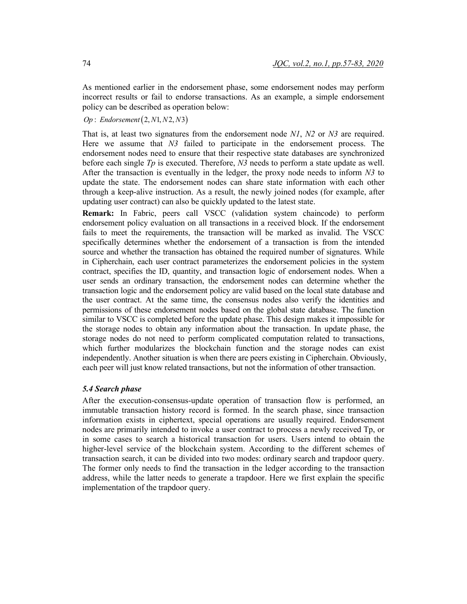As mentioned earlier in the endorsement phase, some endorsement nodes may perform incorrect results or fail to endorse transactions. As an example, a simple endorsement policy can be described as operation below:

*Op* : *Endorsement* (2, *N*1, *N*2, *N*3)

That is, at least two signatures from the endorsement node *N1*, *N2* or *N3* are required. Here we assume that *N3* failed to participate in the endorsement process. The endorsement nodes need to ensure that their respective state databases are synchronized before each single *Tp* is executed. Therefore, *N3* needs to perform a state update as well. After the transaction is eventually in the ledger, the proxy node needs to inform *N3* to update the state. The endorsement nodes can share state information with each other through a keep-alive instruction. As a result, the newly joined nodes (for example, after updating user contract) can also be quickly updated to the latest state.

**Remark:** In Fabric, peers call VSCC (validation system chaincode) to perform endorsement policy evaluation on all transactions in a received block. If the endorsement fails to meet the requirements, the transaction will be marked as invalid. The VSCC specifically determines whether the endorsement of a transaction is from the intended source and whether the transaction has obtained the required number of signatures. While in Cipherchain, each user contract parameterizes the endorsement policies in the system contract, specifies the ID, quantity, and transaction logic of endorsement nodes. When a user sends an ordinary transaction, the endorsement nodes can determine whether the transaction logic and the endorsement policy are valid based on the local state database and the user contract. At the same time, the consensus nodes also verify the identities and permissions of these endorsement nodes based on the global state database. The function similar to VSCC is completed before the update phase. This design makes it impossible for the storage nodes to obtain any information about the transaction. In update phase, the storage nodes do not need to perform complicated computation related to transactions, which further modularizes the blockchain function and the storage nodes can exist independently. Another situation is when there are peers existing in Cipherchain. Obviously, each peer will just know related transactions, but not the information of other transaction.

## *5.4 Search phase*

After the execution-consensus-update operation of transaction flow is performed, an immutable transaction history record is formed. In the search phase, since transaction information exists in ciphertext, special operations are usually required. Endorsement nodes are primarily intended to invoke a user contract to process a newly received Tp, or in some cases to search a historical transaction for users. Users intend to obtain the higher-level service of the blockchain system. According to the different schemes of transaction search, it can be divided into two modes: ordinary search and trapdoor query. The former only needs to find the transaction in the ledger according to the transaction address, while the latter needs to generate a trapdoor. Here we first explain the specific implementation of the trapdoor query.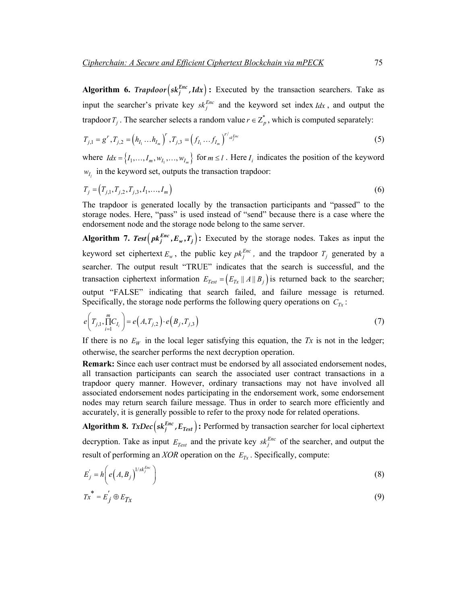**Algorithm 6.** *Trapdoor*  $\left( s k_j^{Enc}, I d x \right)$ : Executed by the transaction searchers. Take as input the searcher's private key  $sk_j^{Enc}$  and the keyword set index *Idx*, and output the trapdoor  $T_j$ . The searcher selects a random value  $r \in Z_p^*$ , which is computed separately:

$$
T_{j,1} = g^r, T_{j,2} = (h_{I_1} \dots h_{I_m})^r, T_{j,3} = (f_{I_1} \dots f_{I_m})^{r'_{skf}^{Enc}}
$$
\n(5)

where  $Idx = \{I_1, ..., I_m, w_I, ..., w_I_n\}$  for  $m \le l$ . Here  $I_i$  indicates the position of the keyword  $w_l$  in the keyword set, outputs the transaction trapdoor:

$$
T_j = (T_{j,1}, T_{j,2}, T_{j,3}, I_1, \dots, I_m)
$$
\n(6)

The trapdoor is generated locally by the transaction participants and "passed" to the storage nodes. Here, "pass" is used instead of "send" because there is a case where the endorsement node and the storage node belong to the same server.

**Algorithm 7.** Test  $\left( pk_j^{Enc}, E_w, T_j \right)$ : Executed by the storage nodes. Takes as input the keyword set ciphertext  $E_w$ , the public key  $pk_j^{Enc}$ , and the trapdoor  $T_j$  generated by a searcher. The output result "TRUE" indicates that the search is successful, and the transaction ciphertext information  $E_{Test} = (E_{Tx} || A || B_i)$  is returned back to the searcher; output "FALSE" indicating that search failed, and failure message is returned. Specifically, the storage node performs the following query operations on  $C_{Tx}$ :

$$
e\left(T_{j,1}, \prod_{i=1}^{m} C_{I_i}\right) = e\left(A, T_{j,2}\right) \cdot e\left(B_j, T_{j,3}\right) \tag{7}
$$

If there is no  $E_W$  in the local leger satisfying this equation, the *Tx* is not in the ledger; otherwise, the searcher performs the next decryption operation.

**Remark:** Since each user contract must be endorsed by all associated endorsement nodes, all transaction participants can search the associated user contract transactions in a trapdoor query manner. However, ordinary transactions may not have involved all associated endorsement nodes participating in the endorsement work, some endorsement nodes may return search failure message. Thus in order to search more efficiently and accurately, it is generally possible to refer to the proxy node for related operations.

**Algorithm 8.**  $TxDec(sk_i^{Enc}, E_{Test})$ : Performed by transaction searcher for local ciphertext decryption. Take as input  $E_{Test}$  and the private key  $s k_j^{Enc}$  of the searcher, and output the result of performing an  $XOR$  operation on the  $E_{Tx}$ . Specifically, compute:

$$
E_j' = h \bigg( e \bigg( A, B_j \bigg)^{1/s k_j^{Enc}} \bigg)
$$
 (8)

$$
Tx^* = E_j' \oplus E_{Tx} \tag{9}
$$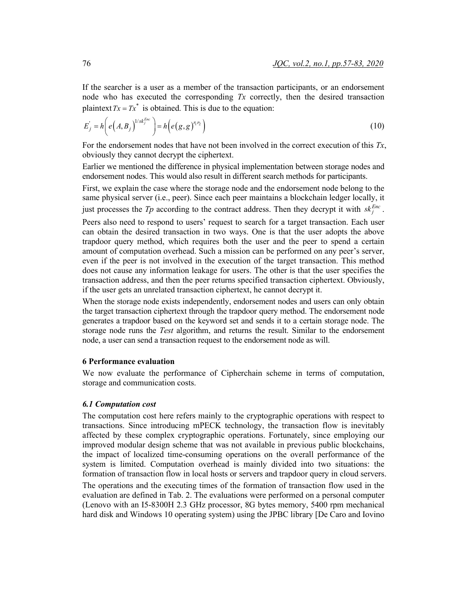If the searcher is a user as a member of the transaction participants, or an endorsement node who has executed the corresponding *Tx* correctly, then the desired transaction plaintext  $Tx = Tx^*$  is obtained. This is due to the equation:

$$
E'_{j} = h\left(e\left(A, B_{j}\right)^{1/sk_{j}^{Enc}}\right) = h\left(e\left(g, g\right)^{r_{1}r_{2}}\right)
$$
\n<sup>(10)</sup>

For the endorsement nodes that have not been involved in the correct execution of this *Tx*, obviously they cannot decrypt the ciphertext.

Earlier we mentioned the difference in physical implementation between storage nodes and endorsement nodes. This would also result in different search methods for participants.

First, we explain the case where the storage node and the endorsement node belong to the same physical server (i.e., peer). Since each peer maintains a blockchain ledger locally, it just processes the *Tp* according to the contract address. Then they decrypt it with  $sk_j^{Enc}$ .

Peers also need to respond to users' request to search for a target transaction. Each user can obtain the desired transaction in two ways. One is that the user adopts the above trapdoor query method, which requires both the user and the peer to spend a certain amount of computation overhead. Such a mission can be performed on any peer's server, even if the peer is not involved in the execution of the target transaction. This method does not cause any information leakage for users. The other is that the user specifies the transaction address, and then the peer returns specified transaction ciphertext. Obviously, if the user gets an unrelated transaction ciphertext, he cannot decrypt it.

When the storage node exists independently, endorsement nodes and users can only obtain the target transaction ciphertext through the trapdoor query method. The endorsement node generates a trapdoor based on the keyword set and sends it to a certain storage node. The storage node runs the *Test* algorithm, and returns the result. Similar to the endorsement node, a user can send a transaction request to the endorsement node as will.

# **6 Performance evaluation**

We now evaluate the performance of Cipherchain scheme in terms of computation, storage and communication costs.

#### *6.1 Computation cost*

The computation cost here refers mainly to the cryptographic operations with respect to transactions. Since introducing mPECK technology, the transaction flow is inevitably affected by these complex cryptographic operations. Fortunately, since employing our improved modular design scheme that was not available in previous public blockchains, the impact of localized time-consuming operations on the overall performance of the system is limited. Computation overhead is mainly divided into two situations: the formation of transaction flow in local hosts or servers and trapdoor query in cloud servers.

The operations and the executing times of the formation of transaction flow used in the evaluation are defined in Tab. 2. The evaluations were performed on a personal computer (Lenovo with an I5-8300H 2.3 GHz processor, 8G bytes memory, 5400 rpm mechanical hard disk and Windows 10 operating system) using the JPBC library [De Caro and Iovino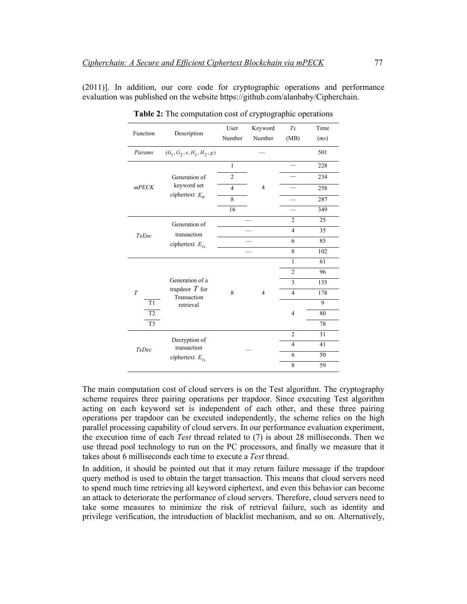(2011)]. In addition, our core code for cryptographic operations and performance evaluation was published on the website https://github.com/alanbaby/Cipherchain.

| Function                                                 | Description                                                     | User           | Keyword        | Tx             | Time |
|----------------------------------------------------------|-----------------------------------------------------------------|----------------|----------------|----------------|------|
|                                                          |                                                                 | Number         | Number         | (MB)           | (ms) |
| Params                                                   | $(G_1, G_2, e, H_1, H_2, g)$                                    |                |                |                | 501  |
| mPECK                                                    | Generation of<br>keyword set<br>ciphertext $E_W$                | $\mathbf{1}$   | 4              |                | 228  |
|                                                          |                                                                 | $\overline{c}$ |                |                | 234  |
|                                                          |                                                                 | $\overline{4}$ |                |                | 258  |
|                                                          |                                                                 | $\overline{8}$ |                |                | 287  |
|                                                          |                                                                 | 16             |                |                | 349  |
| <b>TxEnc</b>                                             | Generation of<br>transaction<br>ciphertext $E_{\tau x}$         |                |                | $\overline{2}$ | 25   |
|                                                          |                                                                 |                |                | $\overline{4}$ | 35   |
|                                                          |                                                                 |                |                | 6              | 85   |
|                                                          |                                                                 |                |                | 8              | 102  |
| $\overline{T}$<br>T1<br>T <sub>2</sub><br>T <sub>3</sub> | Generation of a<br>trapdoor $T$ for<br>Transaction<br>retrieval | 8              | $\overline{4}$ | $\mathbf{1}$   | 61   |
|                                                          |                                                                 |                |                | $\overline{2}$ | 96   |
|                                                          |                                                                 |                |                | 3              | 135  |
|                                                          |                                                                 |                |                | $\overline{4}$ | 178  |
|                                                          |                                                                 |                |                |                | 9    |
|                                                          |                                                                 |                |                | $\overline{4}$ | 80   |
|                                                          |                                                                 |                |                |                | 78   |
| <b>TxDec</b>                                             | Decryption of<br>transaction<br>ciphertext $E_{\tau_r}$         |                |                | $\overline{2}$ | 31   |
|                                                          |                                                                 |                |                | $\overline{4}$ | 41   |
|                                                          |                                                                 |                |                | 6              | 50   |
|                                                          |                                                                 |                |                | 8              | 59   |

**Table 2:** The computation cost of cryptographic operations

The main computation cost of cloud servers is on the Test algorithm. The cryptography scheme requires three pairing operations per trapdoor. Since executing Test algorithm acting on each keyword set is independent of each other, and these three pairing operations per trapdoor can be executed independently, the scheme relies on the high parallel processing capability of cloud servers. In our performance evaluation experiment, the execution time of each *Test* thread related to (7) is about 28 milliseconds. Then we use thread pool technology to run on the PC processors, and finally we measure that it takes about 6 milliseconds each time to execute a *Test* thread.

In addition, it should be pointed out that it may return failure message if the trapdoor query method is used to obtain the target transaction. This means that cloud servers need to spend much time retrieving all keyword ciphertext, and even this behavior can become an attack to deteriorate the performance of cloud servers. Therefore, cloud servers need to take some measures to minimize the risk of retrieval failure, such as identity and privilege verification, the introduction of blacklist mechanism, and so on. Alternatively,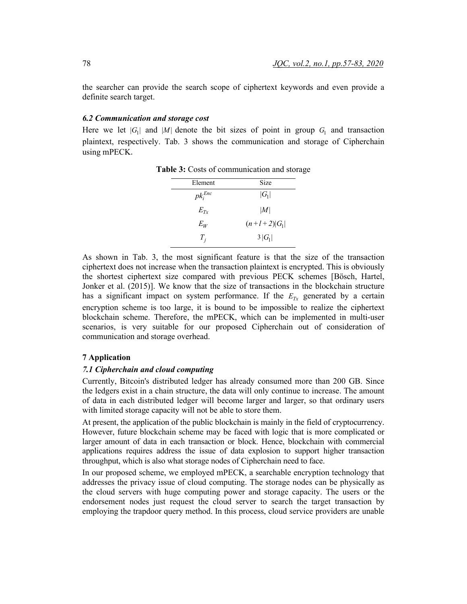the searcher can provide the search scope of ciphertext keywords and even provide a definite search target.

#### *6.2 Communication and storage cost*

Here we let  $|G_1|$  and  $|M|$  denote the bit sizes of point in group  $G_1$  and transaction plaintext, respectively. Tab. 3 shows the communication and storage of Cipherchain using mPECK.

| Element      | Size           |  |  |
|--------------|----------------|--|--|
| $pk_i^{Enc}$ | $ G_1 $        |  |  |
| $E_{Tx}$     | M              |  |  |
| $E_W$        | $(n+l+2) G_1 $ |  |  |
| $T_i$        | $3 G_1 $       |  |  |

**Table 3:** Costs of communication and storage

As shown in Tab. 3, the most significant feature is that the size of the transaction ciphertext does not increase when the transaction plaintext is encrypted. This is obviously the shortest ciphertext size compared with previous PECK schemes [Bösch, Hartel, Jonker et al. (2015)]. We know that the size of transactions in the blockchain structure has a significant impact on system performance. If the  $E_{Tx}$  generated by a certain encryption scheme is too large, it is bound to be impossible to realize the ciphertext blockchain scheme. Therefore, the mPECK, which can be implemented in multi-user scenarios, is very suitable for our proposed Cipherchain out of consideration of communication and storage overhead.

## **7 Application**

## *7.1 Cipherchain and cloud computing*

Currently, Bitcoin's distributed ledger has already consumed more than 200 GB. Since the ledgers exist in a chain structure, the data will only continue to increase. The amount of data in each distributed ledger will become larger and larger, so that ordinary users with limited storage capacity will not be able to store them.

At present, the application of the public blockchain is mainly in the field of cryptocurrency. However, future blockchain scheme may be faced with logic that is more complicated or larger amount of data in each transaction or block. Hence, blockchain with commercial applications requires address the issue of data explosion to support higher transaction throughput, which is also what storage nodes of Cipherchain need to face.

In our proposed scheme, we employed mPECK, a searchable encryption technology that addresses the privacy issue of cloud computing. The storage nodes can be physically as the cloud servers with huge computing power and storage capacity. The users or the endorsement nodes just request the cloud server to search the target transaction by employing the trapdoor query method. In this process, cloud service providers are unable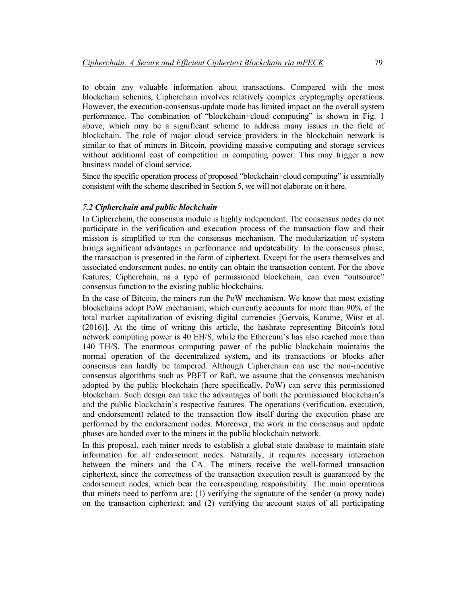to obtain any valuable information about transactions. Compared with the most blockchain schemes, Cipherchain involves relatively complex cryptography operations. However, the execution-consensus-update mode has limited impact on the overall system performance. The combination of "blockchain+cloud computing" is shown in Fig. 1 above, which may be a significant scheme to address many issues in the field of blockchain. The role of major cloud service providers in the blockchain network is similar to that of miners in Bitcoin, providing massive computing and storage services without additional cost of competition in computing power. This may trigger a new business model of cloud service.

Since the specific operation process of proposed "blockchain+cloud computing" is essentially consistent with the scheme described in Section 5, we will not elaborate on it here.

#### *7.2 Cipherchain and public blockchain*

In Cipherchain, the consensus module is highly independent. The consensus nodes do not participate in the verification and execution process of the transaction flow and their mission is simplified to run the consensus mechanism. The modularization of system brings significant advantages in performance and updateability. In the consensus phase, the transaction is presented in the form of ciphertext. Except for the users themselves and associated endorsement nodes, no entity can obtain the transaction content. For the above features, Cipherchain, as a type of permissioned blockchain, can even "outsource" consensus function to the existing public blockchains.

In the case of Bitcoin, the miners run the PoW mechanism. We know that most existing blockchains adopt PoW mechanism, which currently accounts for more than 90% of the total market capitalization of existing digital currencies [Gervais, Karame, Wüst et al. (2016)]. At the time of writing this article, the hashrate representing Bitcoin's total network computing power is 40 EH/S, while the Ethereum's has also reached more than 140 TH/S. The enormous computing power of the public blockchain maintains the normal operation of the decentralized system, and its transactions or blocks after consensus can hardly be tampered. Although Cipherchain can use the non-incentive consensus algorithms such as PBFT or Raft, we assume that the consensus mechanism adopted by the public blockchain (here specifically, PoW) can serve this permissioned blockchain. Such design can take the advantages of both the permissioned blockchain's and the public blockchain's respective features. The operations (verification, execution, and endorsement) related to the transaction flow itself during the execution phase are performed by the endorsement nodes. Moreover, the work in the consensus and update phases are handed over to the miners in the public blockchain network.

In this proposal, each miner needs to establish a global state database to maintain state information for all endorsement nodes. Naturally, it requires necessary interaction between the miners and the CA. The miners receive the well-formed transaction ciphertext, since the correctness of the transaction execution result is guaranteed by the endorsement nodes, which bear the corresponding responsibility. The main operations that miners need to perform are: (1) verifying the signature of the sender (a proxy node) on the transaction ciphertext; and (2) verifying the account states of all participating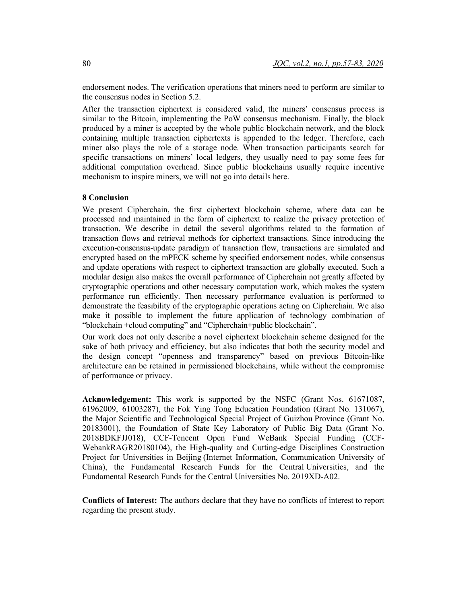endorsement nodes. The verification operations that miners need to perform are similar to the consensus nodes in Section 5.2.

After the transaction ciphertext is considered valid, the miners' consensus process is similar to the Bitcoin, implementing the PoW consensus mechanism. Finally, the block produced by a miner is accepted by the whole public blockchain network, and the block containing multiple transaction ciphertexts is appended to the ledger. Therefore, each miner also plays the role of a storage node. When transaction participants search for specific transactions on miners' local ledgers, they usually need to pay some fees for additional computation overhead. Since public blockchains usually require incentive mechanism to inspire miners, we will not go into details here.

#### **8 Conclusion**

We present Cipherchain, the first ciphertext blockchain scheme, where data can be processed and maintained in the form of ciphertext to realize the privacy protection of transaction. We describe in detail the several algorithms related to the formation of transaction flows and retrieval methods for ciphertext transactions. Since introducing the execution-consensus-update paradigm of transaction flow, transactions are simulated and encrypted based on the mPECK scheme by specified endorsement nodes, while consensus and update operations with respect to ciphertext transaction are globally executed. Such a modular design also makes the overall performance of Cipherchain not greatly affected by cryptographic operations and other necessary computation work, which makes the system performance run efficiently. Then necessary performance evaluation is performed to demonstrate the feasibility of the cryptographic operations acting on Cipherchain. We also make it possible to implement the future application of technology combination of "blockchain +cloud computing" and "Cipherchain+public blockchain".

Our work does not only describe a novel ciphertext blockchain scheme designed for the sake of both privacy and efficiency, but also indicates that both the security model and the design concept "openness and transparency" based on previous Bitcoin-like architecture can be retained in permissioned blockchains, while without the compromise of performance or privacy.

**Acknowledgement:** This work is supported by the NSFC (Grant Nos. 61671087, 61962009, 61003287), the Fok Ying Tong Education Foundation (Grant No. 131067), the Major Scientific and Technological Special Project of Guizhou Province (Grant No. 20183001), the Foundation of State Key Laboratory of Public Big Data (Grant No. 2018BDKFJJ018), CCF-Tencent Open Fund WeBank Special Funding (CCF-WebankRAGR20180104), the High-quality and Cutting-edge Disciplines Construction Project for Universities in Beijing (Internet Information, Communication University of China), the Fundamental Research Funds for the Central Universities, and the Fundamental Research Funds for the Central Universities No. 2019XD-A02.

**Conflicts of Interest:** The authors declare that they have no conflicts of interest to report regarding the present study.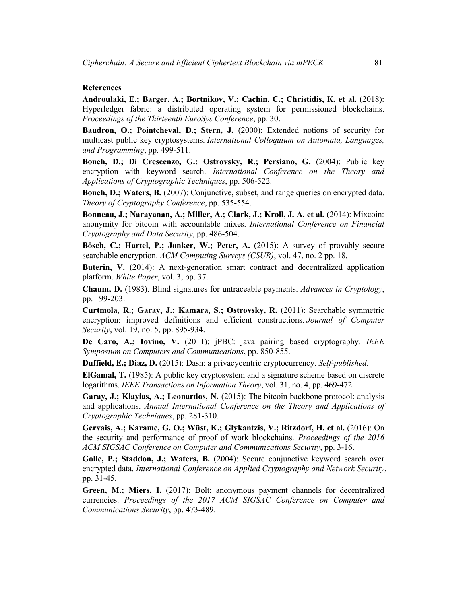# **References**

**Androulaki, E.; Barger, A.; Bortnikov, V.; Cachin, C.; Christidis, K. et al.** (2018): Hyperledger fabric: a distributed operating system for permissioned blockchains. *Proceedings of the Thirteenth EuroSys Conference*, pp. 30.

**Baudron, O.; Pointcheval, D.; Stern, J.** (2000): Extended notions of security for multicast public key cryptosystems. *International Colloquium on Automata, Languages, and Programming*, pp. 499-511.

**Boneh, D.; Di Crescenzo, G.; Ostrovsky, R.; Persiano, G.** (2004): Public key encryption with keyword search. *International Conference on the Theory and Applications of Cryptographic Techniques*, pp. 506-522.

**Boneh, D.; Waters, B.** (2007): Conjunctive, subset, and range queries on encrypted data. *Theory of Cryptography Conference*, pp. 535-554.

**Bonneau, J.; Narayanan, A.; Miller, A.; Clark, J.; Kroll, J. A. et al.** (2014): Mixcoin: anonymity for bitcoin with accountable mixes. *International Conference on Financial Cryptography and Data Security*, pp. 486-504.

**Bösch, C.; Hartel, P.; Jonker, W.; Peter, A.** (2015): A survey of provably secure searchable encryption. *ACM Computing Surveys (CSUR)*, vol. 47, no. 2 pp. 18.

**Buterin, V.** (2014): A next-generation smart contract and decentralized application platform. *White Paper*, vol. 3, pp. 37.

**Chaum, D.** (1983). Blind signatures for untraceable payments. *Advances in Cryptology*, pp. 199-203.

**Curtmola, R.; Garay, J.; Kamara, S.; Ostrovsky, R.** (2011): Searchable symmetric encryption: improved definitions and efficient constructions. *Journal of Computer Security*, vol. 19, no. 5, pp. 895-934.

**De Caro, A.; Iovino, V.** (2011): jPBC: java pairing based cryptography. *IEEE Symposium on Computers and Communications*, pp. 850-855.

**Duffield, E.; Diaz, D.** (2015): Dash: a privacycentric cryptocurrency. *Self-published*.

**ElGamal, T.** (1985): A public key cryptosystem and a signature scheme based on discrete logarithms. *IEEE Transactions on Information Theory*, vol. 31, no. 4, pp. 469-472.

**Garay, J.; Kiayias, A.; Leonardos, N.** (2015): The bitcoin backbone protocol: analysis and applications. *Annual International Conference on the Theory and Applications of Cryptographic Techniques*, pp. 281-310.

**Gervais, A.; Karame, G. O.; Wüst, K.; Glykantzis, V.; Ritzdorf, H. et al.** (2016): On the security and performance of proof of work blockchains. *Proceedings of the 2016 ACM SIGSAC Conference on Computer and Communications Security*, pp. 3-16.

**Golle, P.; Staddon, J.; Waters, B.** (2004): Secure conjunctive keyword search over encrypted data. *International Conference on Applied Cryptography and Network Security*, pp. 31-45.

**Green, M.; Miers, I.** (2017): Bolt: anonymous payment channels for decentralized currencies. *Proceedings of the 2017 ACM SIGSAC Conference on Computer and Communications Security*, pp. 473-489.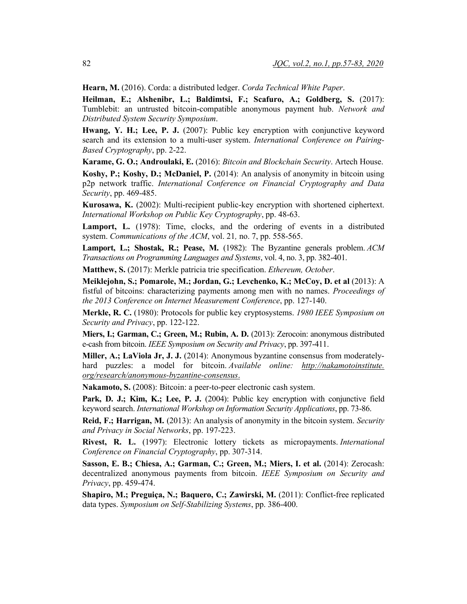**Hearn, M.** (2016). Corda: a distributed ledger. *Corda Technical White Paper*.

**Heilman, E.; Alshenibr, L.; Baldimtsi, F.; Scafuro, A.; Goldberg, S.** (2017): Tumblebit: an untrusted bitcoin-compatible anonymous payment hub. *Network and Distributed System Security Symposium*.

**Hwang, Y. H.; Lee, P. J.** (2007): Public key encryption with conjunctive keyword search and its extension to a multi-user system. *International Conference on Pairing-Based Cryptography*, pp. 2-22.

**Karame, G. O.; Androulaki, E.** (2016): *Bitcoin and Blockchain Security*. Artech House. **Koshy, P.; Koshy, D.; McDaniel, P.** (2014): An analysis of anonymity in bitcoin using p2p network traffic. *International Conference on Financial Cryptography and Data Security*, pp. 469-485.

**Kurosawa, K.** (2002): Multi-recipient public-key encryption with shortened ciphertext. *International Workshop on Public Key Cryptography*, pp. 48-63.

Lamport, L. (1978): Time, clocks, and the ordering of events in a distributed system. *Communications of the ACM*, vol. 21*,* no. 7, pp. 558-565.

**Lamport, L.; Shostak, R.; Pease, M.** (1982): The Byzantine generals problem. *ACM Transactions on Programming Languages and Systems*, vol. 4, no. 3, pp. 382-401.

**Matthew, S.** (2017): Merkle patricia trie specification. *Ethereum, October*.

**Meiklejohn, S.; Pomarole, M.; Jordan, G.; Levchenko, K.; McCoy, D. et al** (2013): A fistful of bitcoins: characterizing payments among men with no names. *Proceedings of the 2013 Conference on Internet Measurement Conference*, pp. 127-140.

**Merkle, R. C.** (1980): Protocols for public key cryptosystems. *1980 IEEE Symposium on Security and Privacy*, pp. 122-122.

**Miers, I.; Garman, C.; Green, M.; Rubin, A. D.** (2013): Zerocoin: anonymous distributed e-cash from bitcoin. *IEEE Symposium on Security and Privacy*, pp. 397-411.

**Miller, A.; LaViola Jr, J. J.** (2014): Anonymous byzantine consensus from moderatelyhard puzzles: a model for bitcoin. *Available online: http://nakamotoinstitute. org/research/anonymous-byzantine-consensus*.

**Nakamoto, S.** (2008): Bitcoin: a peer-to-peer electronic cash system.

Park, D. J.; Kim, K.; Lee, P. J. (2004): Public key encryption with conjunctive field keyword search. *International Workshop on Information Security Applications*, pp. 73-86.

**Reid, F.; Harrigan, M.** (2013): An analysis of anonymity in the bitcoin system. *Security and Privacy in Social Networks*, pp. 197-223.

**Rivest, R. L.** (1997): Electronic lottery tickets as micropayments. *International Conference on Financial Cryptography*, pp. 307-314.

**Sasson, E. B.; Chiesa, A.; Garman, C.; Green, M.; Miers, I. et al.** (2014): Zerocash: decentralized anonymous payments from bitcoin. *IEEE Symposium on Security and Privacy*, pp. 459-474.

Shapiro, M.; Preguiça, N.; Baquero, C.; Zawirski, M. (2011): Conflict-free replicated data types. *Symposium on Self-Stabilizing Systems*, pp. 386-400.